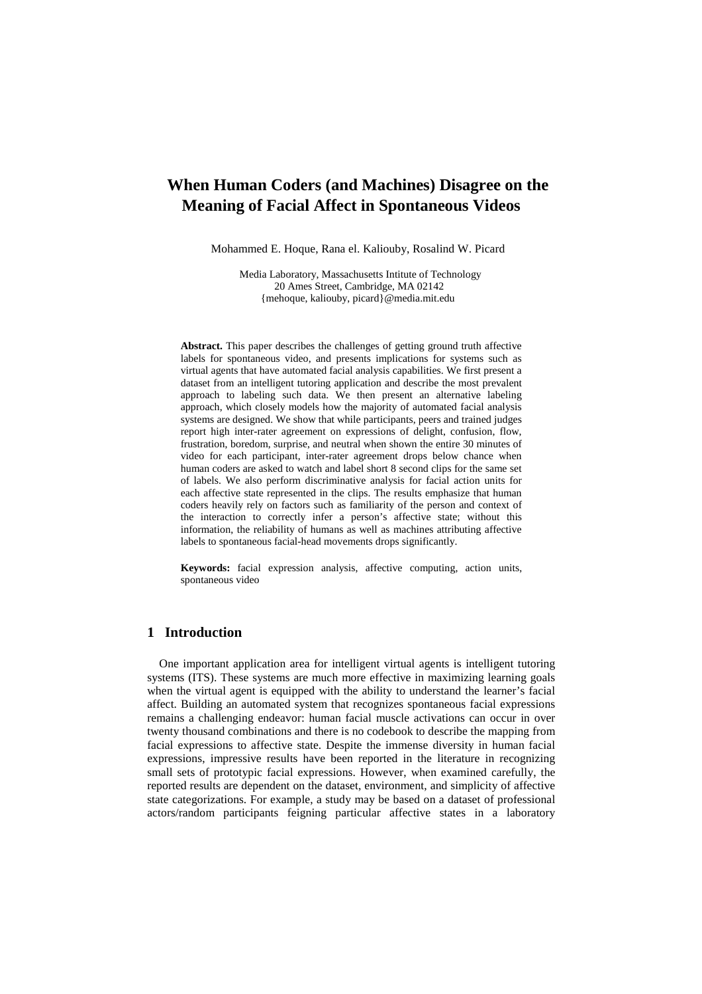# **When Human Coders (and Machines) Disagree on the Meaning of Facial Affect in Spontaneous Videos**

Mohammed E. Hoque, Rana el. Kaliouby, Rosalind W. Picard

 Media Laboratory, Massachusetts Intitute of Technology 20 Ames Street, Cambridge, MA 02142 {mehoque, kaliouby, picard}@media.mit.edu

**Abstract.** This paper describes the challenges of getting ground truth affective labels for spontaneous video, and presents implications for systems such as virtual agents that have automated facial analysis capabilities. We first present a dataset from an intelligent tutoring application and describe the most prevalent approach to labeling such data. We then present an alternative labeling approach, which closely models how the majority of automated facial analysis systems are designed. We show that while participants, peers and trained judges report high inter-rater agreement on expressions of delight, confusion, flow, frustration, boredom, surprise, and neutral when shown the entire 30 minutes of video for each participant, inter-rater agreement drops below chance when human coders are asked to watch and label short 8 second clips for the same set of labels. We also perform discriminative analysis for facial action units for each affective state represented in the clips. The results emphasize that human coders heavily rely on factors such as familiarity of the person and context of the interaction to correctly infer a person's affective state; without this information, the reliability of humans as well as machines attributing affective labels to spontaneous facial-head movements drops significantly.

**Keywords:** facial expression analysis, affective computing, action units, spontaneous video

#### **1 Introduction**

One important application area for intelligent virtual agents is intelligent tutoring systems (ITS). These systems are much more effective in maximizing learning goals when the virtual agent is equipped with the ability to understand the learner's facial affect. Building an automated system that recognizes spontaneous facial expressions remains a challenging endeavor: human facial muscle activations can occur in over twenty thousand combinations and there is no codebook to describe the mapping from facial expressions to affective state. Despite the immense diversity in human facial expressions, impressive results have been reported in the literature in recognizing small sets of prototypic facial expressions. However, when examined carefully, the reported results are dependent on the dataset, environment, and simplicity of affective state categorizations. For example, a study may be based on a dataset of professional actors/random participants feigning particular affective states in a laboratory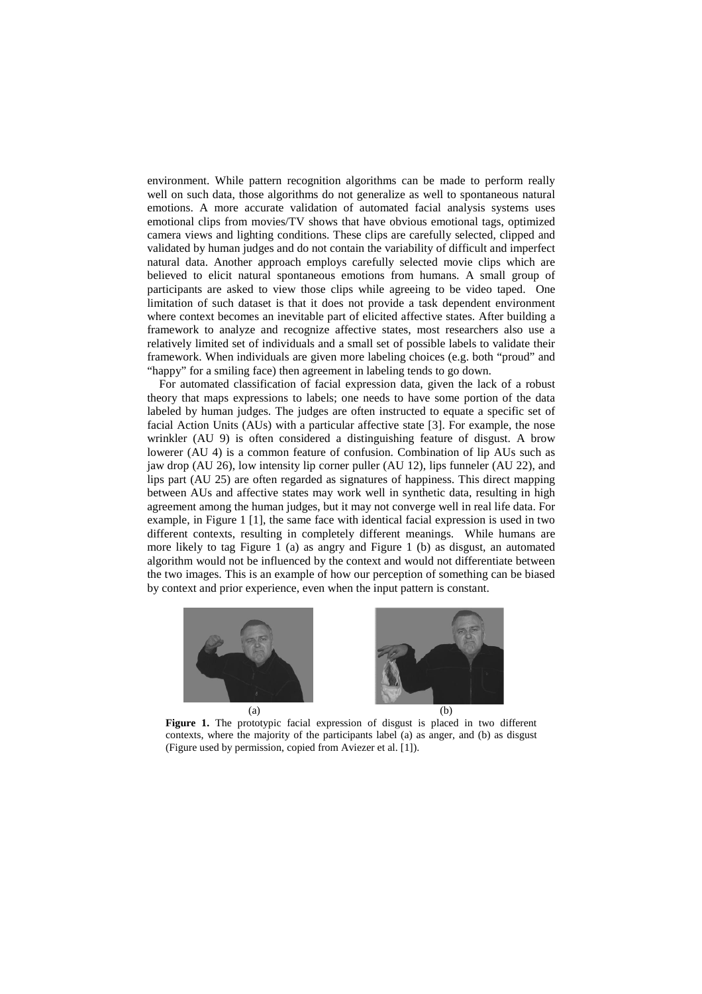environment. While pattern recognition algorithms can be made to perform really well on such data, those algorithms do not generalize as well to spontaneous natural emotions. A more accurate validation of automated facial analysis systems uses emotional clips from movies/TV shows that have obvious emotional tags, optimized camera views and lighting conditions. These clips are carefully selected, clipped and validated by human judges and do not contain the variability of difficult and imperfect natural data. Another approach employs carefully selected movie clips which are believed to elicit natural spontaneous emotions from humans. A small group of participants are asked to view those clips while agreeing to be video taped. One limitation of such dataset is that it does not provide a task dependent environment where context becomes an inevitable part of elicited affective states. After building a framework to analyze and recognize affective states, most researchers also use a relatively limited set of individuals and a small set of possible labels to validate their framework. When individuals are given more labeling choices (e.g. both "proud" and "happy" for a smiling face) then agreement in labeling tends to go down.

For automated classification of facial expression data, given the lack of a robust theory that maps expressions to labels; one needs to have some portion of the data labeled by human judges. The judges are often instructed to equate a specific set of facial Action Units (AUs) with a particular affective state [3]. For example, the nose wrinkler (AU 9) is often considered a distinguishing feature of disgust. A brow lowerer (AU 4) is a common feature of confusion. Combination of lip AUs such as jaw drop (AU 26), low intensity lip corner puller (AU 12), lips funneler (AU 22), and lips part (AU 25) are often regarded as signatures of happiness. This direct mapping between AUs and affective states may work well in synthetic data, resulting in high agreement among the human judges, but it may not converge well in real life data. For example, in Figure 1 [1], the same face with identical facial expression is used in two different contexts, resulting in completely different meanings. While humans are more likely to tag Figure 1 (a) as angry and Figure 1 (b) as disgust, an automated algorithm would not be influenced by the context and would not differentiate between the two images. This is an example of how our perception of something can be biased by context and prior experience, even when the input pattern is constant.



 $(a)$  (b)

**Figure 1.** The prototypic facial expression of disgust is placed in two different contexts, where the majority of the participants label (a) as anger, and (b) as disgust (Figure used by permission, copied from Aviezer et al. [1]).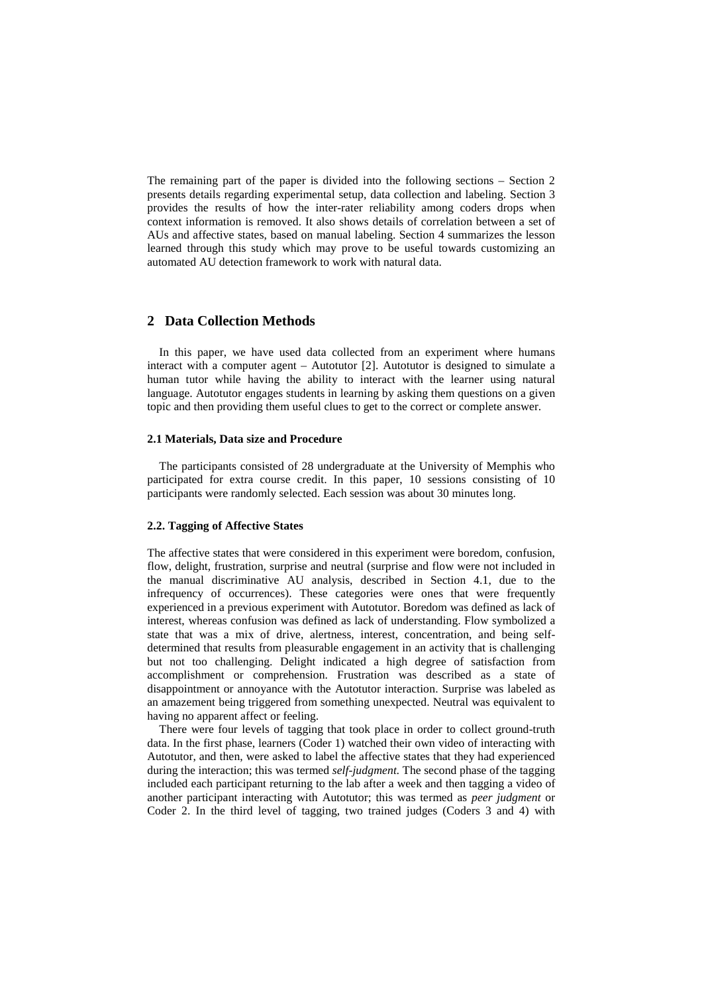The remaining part of the paper is divided into the following sections – Section 2 presents details regarding experimental setup, data collection and labeling. Section 3 provides the results of how the inter-rater reliability among coders drops when context information is removed. It also shows details of correlation between a set of AUs and affective states, based on manual labeling. Section 4 summarizes the lesson learned through this study which may prove to be useful towards customizing an automated AU detection framework to work with natural data.

# **2 Data Collection Methods**

In this paper, we have used data collected from an experiment where humans interact with a computer agent – Autotutor [2]. Autotutor is designed to simulate a human tutor while having the ability to interact with the learner using natural language. Autotutor engages students in learning by asking them questions on a given topic and then providing them useful clues to get to the correct or complete answer.

#### **2.1 Materials, Data size and Procedure**

The participants consisted of 28 undergraduate at the University of Memphis who participated for extra course credit. In this paper, 10 sessions consisting of 10 participants were randomly selected. Each session was about 30 minutes long.

#### **2.2. Tagging of Affective States**

The affective states that were considered in this experiment were boredom, confusion, flow, delight, frustration, surprise and neutral (surprise and flow were not included in the manual discriminative AU analysis, described in Section 4.1, due to the infrequency of occurrences). These categories were ones that were frequently experienced in a previous experiment with Autotutor. Boredom was defined as lack of interest, whereas confusion was defined as lack of understanding. Flow symbolized a state that was a mix of drive, alertness, interest, concentration, and being selfdetermined that results from pleasurable engagement in an activity that is challenging but not too challenging. Delight indicated a high degree of satisfaction from accomplishment or comprehension. Frustration was described as a state of disappointment or annoyance with the Autotutor interaction. Surprise was labeled as an amazement being triggered from something unexpected. Neutral was equivalent to having no apparent affect or feeling.

There were four levels of tagging that took place in order to collect ground-truth data. In the first phase, learners (Coder 1) watched their own video of interacting with Autotutor, and then, were asked to label the affective states that they had experienced during the interaction; this was termed *self-judgment.* The second phase of the tagging included each participant returning to the lab after a week and then tagging a video of another participant interacting with Autotutor; this was termed as *peer judgment* or Coder 2. In the third level of tagging, two trained judges (Coders 3 and 4) with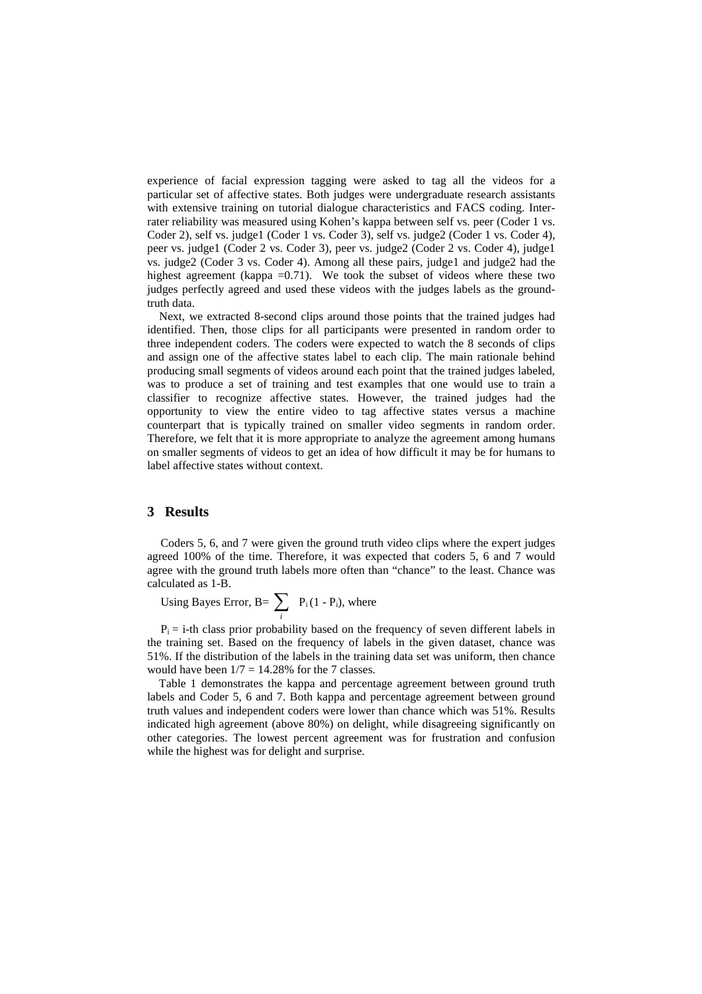experience of facial expression tagging were asked to tag all the videos for a particular set of affective states. Both judges were undergraduate research assistants with extensive training on tutorial dialogue characteristics and FACS coding. Interrater reliability was measured using Kohen's kappa between self vs. peer (Coder 1 vs. Coder 2), self vs. judge1 (Coder 1 vs. Coder 3), self vs. judge2 (Coder 1 vs. Coder 4), peer vs. judge1 (Coder 2 vs. Coder 3), peer vs. judge2 (Coder 2 vs. Coder 4), judge1 vs. judge2 (Coder 3 vs. Coder 4). Among all these pairs, judge1 and judge2 had the highest agreement (kappa  $=0.71$ ). We took the subset of videos where these two judges perfectly agreed and used these videos with the judges labels as the groundtruth data.

Next, we extracted 8-second clips around those points that the trained judges had identified. Then, those clips for all participants were presented in random order to three independent coders. The coders were expected to watch the 8 seconds of clips and assign one of the affective states label to each clip. The main rationale behind producing small segments of videos around each point that the trained judges labeled, was to produce a set of training and test examples that one would use to train a classifier to recognize affective states. However, the trained judges had the opportunity to view the entire video to tag affective states versus a machine counterpart that is typically trained on smaller video segments in random order. Therefore, we felt that it is more appropriate to analyze the agreement among humans on smaller segments of videos to get an idea of how difficult it may be for humans to label affective states without context.

## **3 Results**

Coders 5, 6, and 7 were given the ground truth video clips where the expert judges agreed 100% of the time. Therefore, it was expected that coders 5, 6 and 7 would agree with the ground truth labels more often than "chance" to the least. Chance was calculated as 1-B.

Using Bayes Error, B=  $\sum$ *i*  $P_i(1 - P_i)$ , where

 $P_i$  = i-th class prior probability based on the frequency of seven different labels in the training set. Based on the frequency of labels in the given dataset, chance was 51%. If the distribution of the labels in the training data set was uniform, then chance would have been  $1/7 = 14.28\%$  for the 7 classes.

 Table 1 demonstrates the kappa and percentage agreement between ground truth labels and Coder 5, 6 and 7. Both kappa and percentage agreement between ground truth values and independent coders were lower than chance which was 51%. Results indicated high agreement (above 80%) on delight, while disagreeing significantly on other categories. The lowest percent agreement was for frustration and confusion while the highest was for delight and surprise.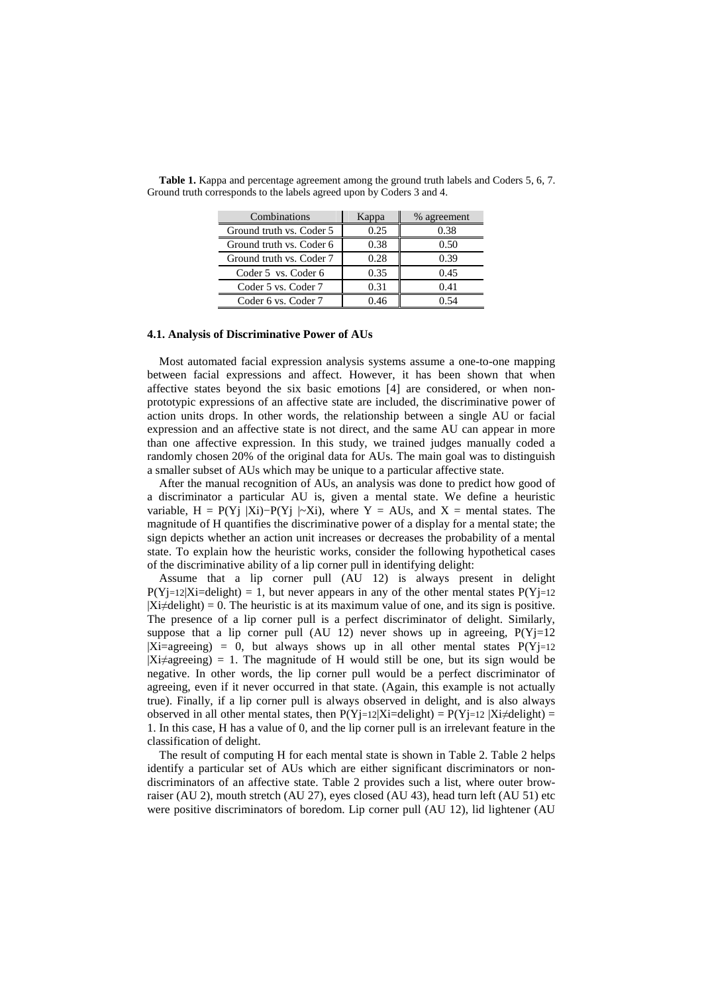| Combinations             | Kappa | % agreement |
|--------------------------|-------|-------------|
| Ground truth vs. Coder 5 | 0.25  | 0.38        |
| Ground truth vs. Coder 6 | 0.38  | 0.50        |
| Ground truth vs. Coder 7 | 0.28  | 0.39        |
| Coder 5 vs. Coder 6      | 0.35  | 0.45        |
| Coder 5 vs. Coder 7      | 0.31  | 0.41        |
| Coder 6 vs. Coder 7      | በ 46  | ) 54        |

**Table 1.** Kappa and percentage agreement among the ground truth labels and Coders 5, 6, 7. Ground truth corresponds to the labels agreed upon by Coders 3 and 4.

#### **4.1. Analysis of Discriminative Power of AUs**

Most automated facial expression analysis systems assume a one-to-one mapping between facial expressions and affect. However, it has been shown that when affective states beyond the six basic emotions [4] are considered, or when nonprototypic expressions of an affective state are included, the discriminative power of action units drops. In other words, the relationship between a single AU or facial expression and an affective state is not direct, and the same AU can appear in more than one affective expression. In this study, we trained judges manually coded a randomly chosen 20% of the original data for AUs. The main goal was to distinguish a smaller subset of AUs which may be unique to a particular affective state.

After the manual recognition of AUs, an analysis was done to predict how good of a discriminator a particular AU is, given a mental state. We define a heuristic variable, H = P(Yj |Xi)–P(Yj |~Xi), where Y = AUs, and X = mental states. The magnitude of H quantifies the discriminative power of a display for a mental state; the sign depicts whether an action unit increases or decreases the probability of a mental state. To explain how the heuristic works, consider the following hypothetical cases of the discriminative ability of a lip corner pull in identifying delight:

Assume that a lip corner pull (AU 12) is always present in delight P(Yj=12|Xi=delight) = 1, but never appears in any of the other mental states P(Yj=12  $|X \neq \text{delight}| = 0$ . The heuristic is at its maximum value of one, and its sign is positive. The presence of a lip corner pull is a perfect discriminator of delight. Similarly, suppose that a lip corner pull (AU 12) never shows up in agreeing,  $P(Y)=12$  $|Xi=$ agreeing) = 0, but always shows up in all other mental states  $P(Y)=12$  $|Xi \rangle$  = 1. The magnitude of H would still be one, but its sign would be negative. In other words, the lip corner pull would be a perfect discriminator of agreeing, even if it never occurred in that state. (Again, this example is not actually true). Finally, if a lip corner pull is always observed in delight, and is also always observed in all other mental states, then  $P(Y_j=12|X_i=delight) = P(Y_j=12|X_i\neq delight) =$ 1. In this case, H has a value of 0, and the lip corner pull is an irrelevant feature in the classification of delight.

The result of computing H for each mental state is shown in Table 2. Table 2 helps identify a particular set of AUs which are either significant discriminators or nondiscriminators of an affective state. Table 2 provides such a list, where outer browraiser (AU 2), mouth stretch (AU 27), eyes closed (AU 43), head turn left (AU 51) etc were positive discriminators of boredom. Lip corner pull (AU 12), lid lightener (AU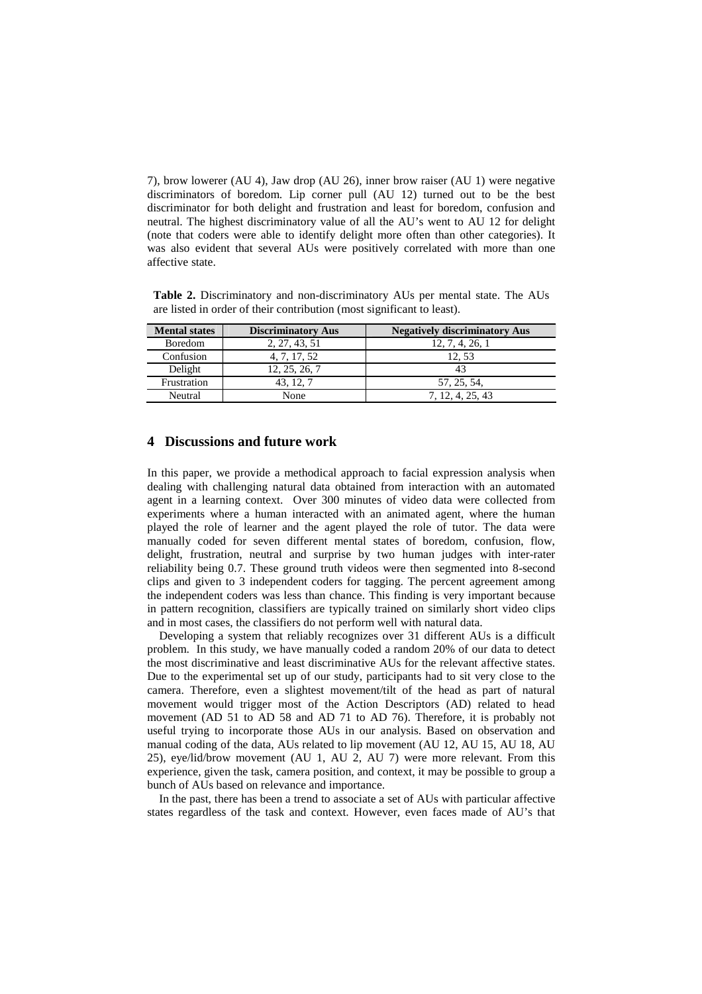7), brow lowerer (AU 4), Jaw drop (AU 26), inner brow raiser (AU 1) were negative discriminators of boredom. Lip corner pull (AU 12) turned out to be the best discriminator for both delight and frustration and least for boredom, confusion and neutral. The highest discriminatory value of all the AU's went to AU 12 for delight (note that coders were able to identify delight more often than other categories). It was also evident that several AUs were positively correlated with more than one affective state.

**Table 2.** Discriminatory and non-discriminatory AUs per mental state. The AUs are listed in order of their contribution (most significant to least).

| <b>Mental states</b> | <b>Discriminatory Aus</b> | <b>Negatively discriminatory Aus</b> |
|----------------------|---------------------------|--------------------------------------|
| <b>Boredom</b>       | 2, 27, 43, 51             | 12, 7, 4, 26, 1                      |
| Confusion            | 4, 7, 17, 52              | 12.53                                |
| Delight              | 12, 25, 26, 7             |                                      |
| Frustration          | 43.12.7                   | 57, 25, 54,                          |
| Neutral              | None                      | 7, 12, 4, 25, 43                     |

#### **4 Discussions and future work**

In this paper, we provide a methodical approach to facial expression analysis when dealing with challenging natural data obtained from interaction with an automated agent in a learning context. Over 300 minutes of video data were collected from experiments where a human interacted with an animated agent, where the human played the role of learner and the agent played the role of tutor. The data were manually coded for seven different mental states of boredom, confusion, flow, delight, frustration, neutral and surprise by two human judges with inter-rater reliability being 0.7. These ground truth videos were then segmented into 8-second clips and given to 3 independent coders for tagging. The percent agreement among the independent coders was less than chance. This finding is very important because in pattern recognition, classifiers are typically trained on similarly short video clips and in most cases, the classifiers do not perform well with natural data.

 Developing a system that reliably recognizes over 31 different AUs is a difficult problem. In this study, we have manually coded a random 20% of our data to detect the most discriminative and least discriminative AUs for the relevant affective states. Due to the experimental set up of our study, participants had to sit very close to the camera. Therefore, even a slightest movement/tilt of the head as part of natural movement would trigger most of the Action Descriptors (AD) related to head movement (AD 51 to AD 58 and AD 71 to AD 76). Therefore, it is probably not useful trying to incorporate those AUs in our analysis. Based on observation and manual coding of the data, AUs related to lip movement (AU 12, AU 15, AU 18, AU 25), eye/lid/brow movement (AU 1, AU 2, AU 7) were more relevant. From this experience, given the task, camera position, and context, it may be possible to group a bunch of AUs based on relevance and importance.

 In the past, there has been a trend to associate a set of AUs with particular affective states regardless of the task and context. However, even faces made of AU's that